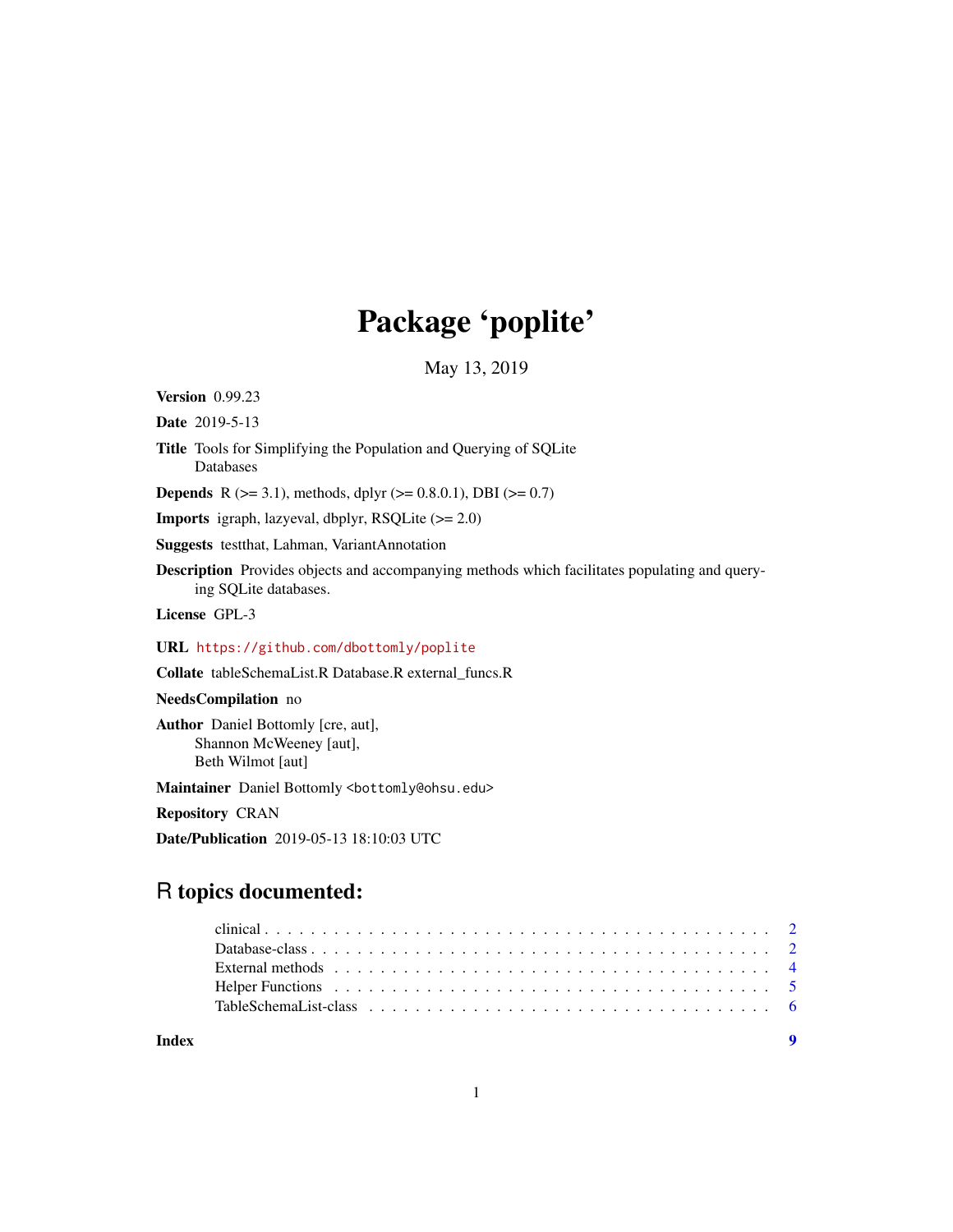# Package 'poplite'

May 13, 2019

Version 0.99.23

Date 2019-5-13

Title Tools for Simplifying the Population and Querying of SQLite Databases

**Depends** R ( $>= 3.1$ ), methods, dplyr ( $>= 0.8.0.1$ ), DBI ( $>= 0.7$ )

Imports igraph, lazyeval, dbplyr, RSQLite (>= 2.0)

Suggests testthat, Lahman, VariantAnnotation

Description Provides objects and accompanying methods which facilitates populating and querying SQLite databases.

License GPL-3

URL <https://github.com/dbottomly/poplite>

Collate tableSchemaList.R Database.R external\_funcs.R

NeedsCompilation no

Author Daniel Bottomly [cre, aut], Shannon McWeeney [aut], Beth Wilmot [aut]

Maintainer Daniel Bottomly <br/>bottomly@ohsu.edu>

Repository CRAN

Date/Publication 2019-05-13 18:10:03 UTC

# R topics documented:

| Index |                                                                                                                                                                                                                                |
|-------|--------------------------------------------------------------------------------------------------------------------------------------------------------------------------------------------------------------------------------|
|       |                                                                                                                                                                                                                                |
|       | Helper Functions et al., respectively and the set of the set of the set of the set of the set of the set of the set of the set of the set of the set of the set of the set of the set of the set of the set of the set of the  |
|       | External methods enterprise in the context of the context of the context of the context of the context of the context of the context of the context of the context of the context of the context of the context of the context |
|       |                                                                                                                                                                                                                                |
|       |                                                                                                                                                                                                                                |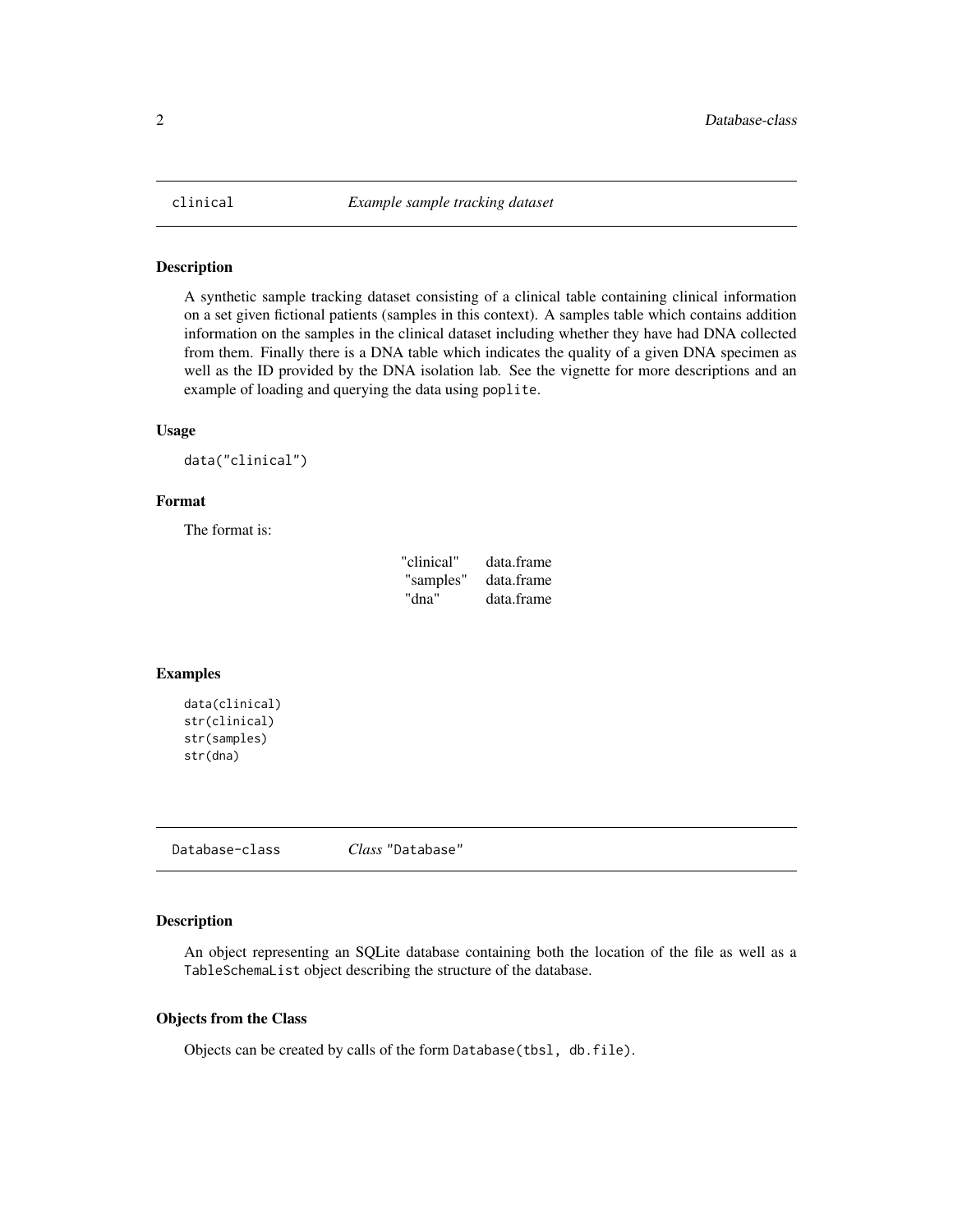<span id="page-1-0"></span>

#### Description

A synthetic sample tracking dataset consisting of a clinical table containing clinical information on a set given fictional patients (samples in this context). A samples table which contains addition information on the samples in the clinical dataset including whether they have had DNA collected from them. Finally there is a DNA table which indicates the quality of a given DNA specimen as well as the ID provided by the DNA isolation lab. See the vignette for more descriptions and an example of loading and querying the data using poplite.

#### Usage

```
data("clinical")
```
#### Format

The format is:

| "clinical" | data.frame |
|------------|------------|
| "samples"  | data.frame |
| "dna"      | data.frame |

#### Examples

```
data(clinical)
str(clinical)
str(samples)
str(dna)
```
Database-class *Class* "Database"

#### Description

An object representing an SQLite database containing both the location of the file as well as a TableSchemaList object describing the structure of the database.

#### Objects from the Class

Objects can be created by calls of the form Database(tbsl, db.file).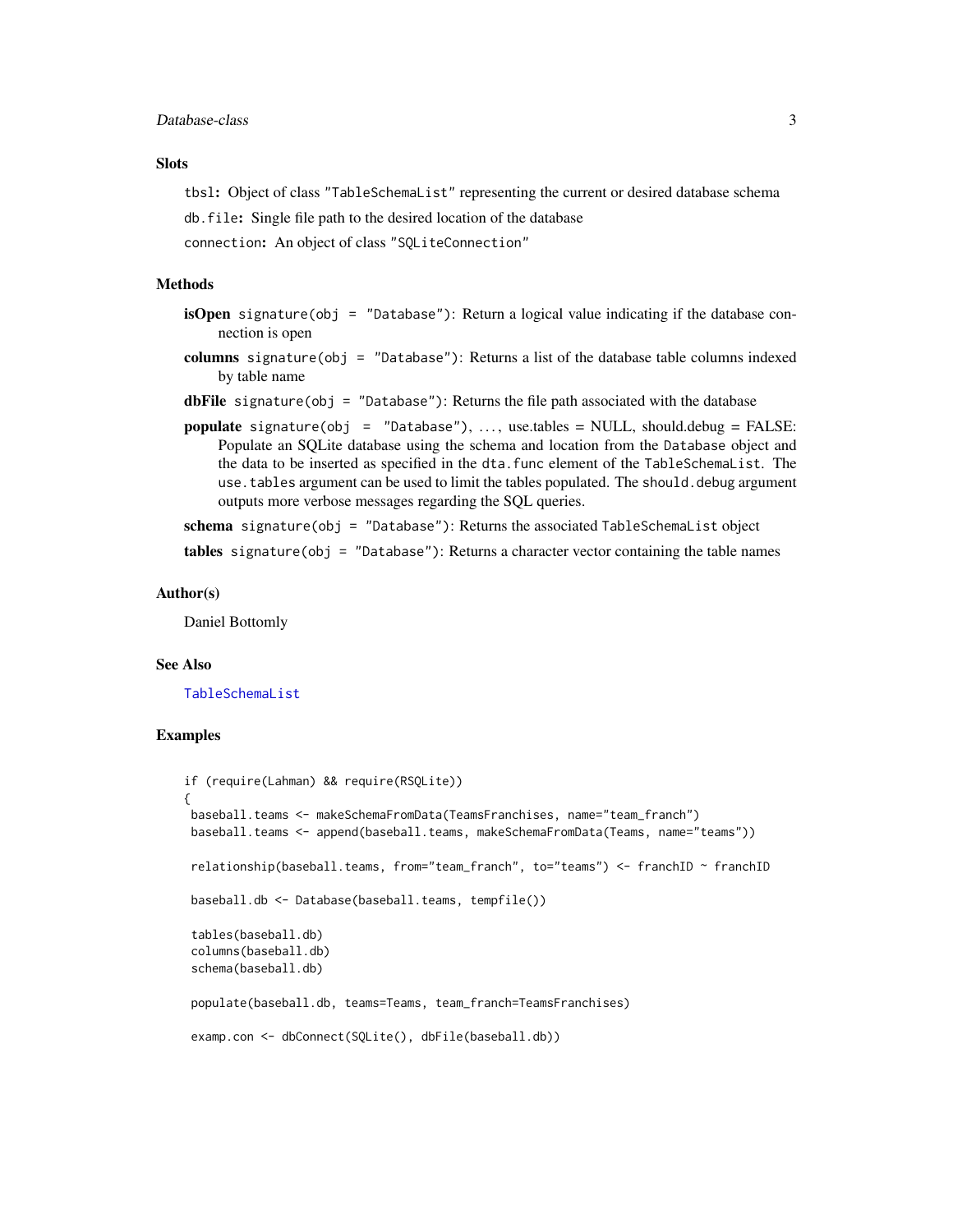#### <span id="page-2-0"></span>Database-class 3

#### **Slots**

tbsl: Object of class "TableSchemaList" representing the current or desired database schema db.file: Single file path to the desired location of the database

connection: An object of class "SQLiteConnection"

#### Methods

- isOpen signature(obj = "Database"): Return a logical value indicating if the database connection is open
- columns signature(obj = "Database"): Returns a list of the database table columns indexed by table name
- dbFile signature(obj = "Database"): Returns the file path associated with the database
- populate signature(obj = "Database"), ..., use.tables =  $NULL$ , should.debug =  $FALSE$ : Populate an SQLite database using the schema and location from the Database object and the data to be inserted as specified in the dta.func element of the TableSchemaList. The use.tables argument can be used to limit the tables populated. The should.debug argument outputs more verbose messages regarding the SQL queries.

schema signature(obj = "Database"): Returns the associated TableSchemaList object

tables signature(obj = "Database"): Returns a character vector containing the table names

#### Author(s)

Daniel Bottomly

#### See Also

[TableSchemaList](#page-5-1)

#### Examples

```
if (require(Lahman) && require(RSQLite))
{
baseball.teams <- makeSchemaFromData(TeamsFranchises, name="team_franch")
baseball.teams <- append(baseball.teams, makeSchemaFromData(Teams, name="teams"))
relationship(baseball.teams, from="team_franch", to="teams") <- franchID ~ franchID
baseball.db <- Database(baseball.teams, tempfile())
tables(baseball.db)
columns(baseball.db)
schema(baseball.db)
populate(baseball.db, teams=Teams, team_franch=TeamsFranchises)
examp.con <- dbConnect(SQLite(), dbFile(baseball.db))
```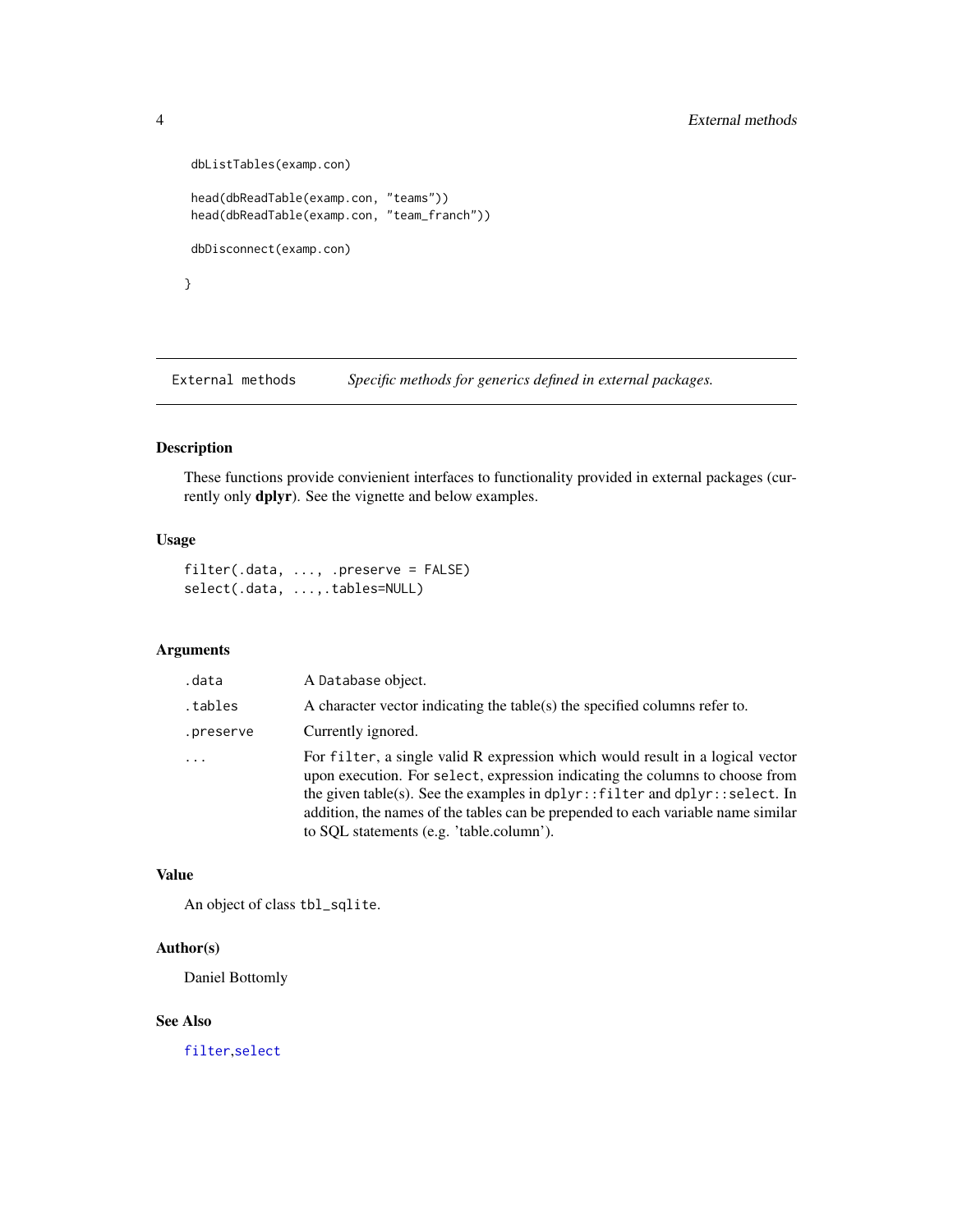```
dbListTables(examp.con)
head(dbReadTable(examp.con, "teams"))
head(dbReadTable(examp.con, "team_franch"))
dbDisconnect(examp.con)
}
```
External methods *Specific methods for generics defined in external packages.*

# <span id="page-3-1"></span>Description

These functions provide convienient interfaces to functionality provided in external packages (currently only **dplyr**). See the vignette and below examples.

# Usage

```
filter(.data, ..., .preserve = FALSE)
select(.data, ...,.tables=NULL)
```
# Arguments

| .data     | A Database object.                                                                                                                                                                                                                                                                                                                                                            |
|-----------|-------------------------------------------------------------------------------------------------------------------------------------------------------------------------------------------------------------------------------------------------------------------------------------------------------------------------------------------------------------------------------|
| .tables   | A character vector indicating the table(s) the specified columns refer to.                                                                                                                                                                                                                                                                                                    |
| .preserve | Currently ignored.                                                                                                                                                                                                                                                                                                                                                            |
| $\ddots$  | For filter, a single valid R expression which would result in a logical vector<br>upon execution. For select, expression indicating the columns to choose from<br>the given table(s). See the examples in dplyr::filter and dplyr::select. In<br>addition, the names of the tables can be prepended to each variable name similar<br>to SQL statements (e.g. 'table.column'). |

#### Value

An object of class tbl\_sqlite.

## Author(s)

Daniel Bottomly

#### See Also

[filter](#page-3-1),[select](#page-3-1)

<span id="page-3-0"></span>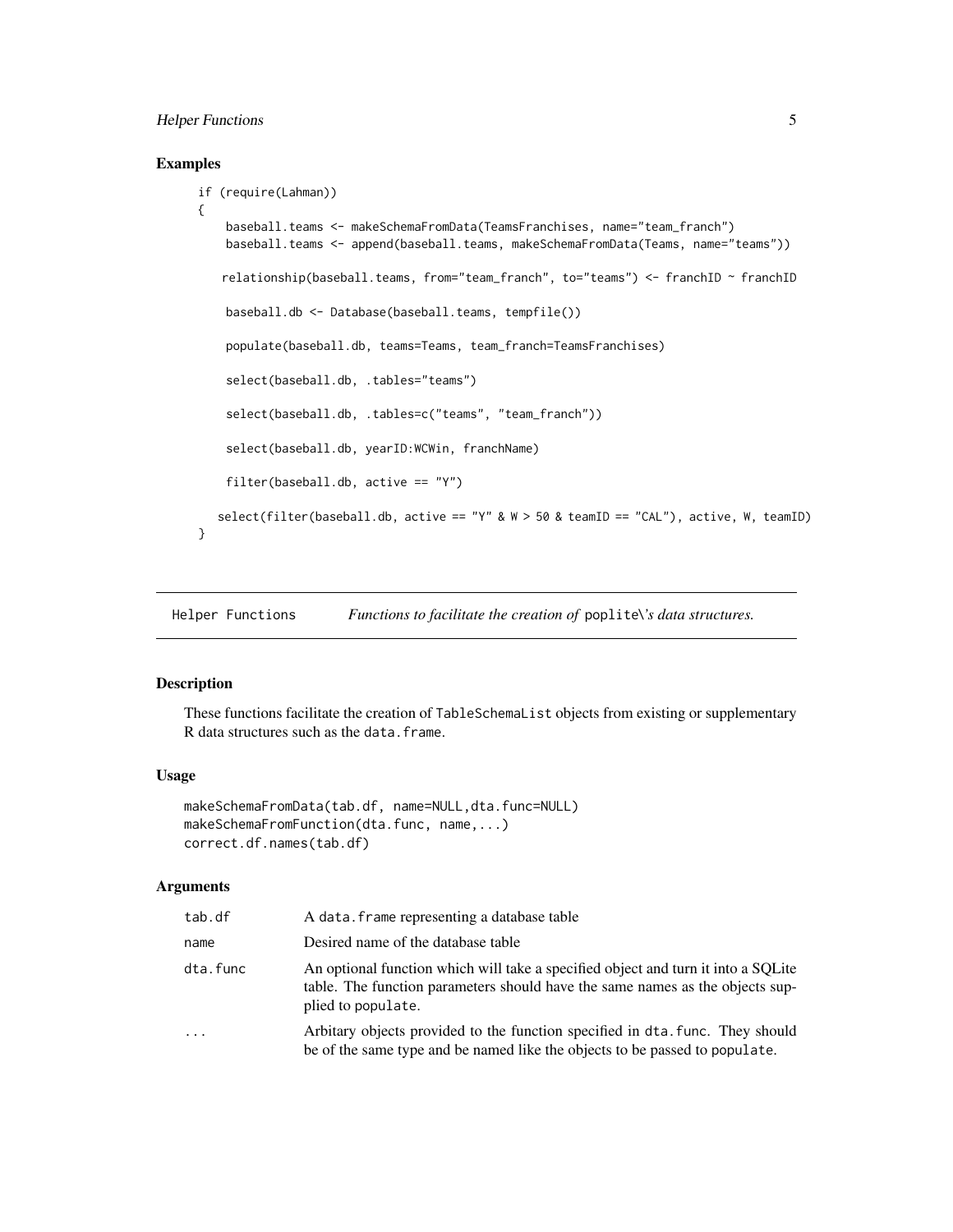# <span id="page-4-0"></span>Helper Functions 5

### Examples

```
if (require(Lahman))
{
    baseball.teams <- makeSchemaFromData(TeamsFranchises, name="team_franch")
    baseball.teams <- append(baseball.teams, makeSchemaFromData(Teams, name="teams"))
   relationship(baseball.teams, from="team_franch", to="teams") <- franchID ~ franchID
    baseball.db <- Database(baseball.teams, tempfile())
    populate(baseball.db, teams=Teams, team_franch=TeamsFranchises)
    select(baseball.db, .tables="teams")
    select(baseball.db, .tables=c("teams", "team_franch"))
    select(baseball.db, yearID:WCWin, franchName)
    filter(baseball.db, active == "Y")
  select(filter(baseball.db, active == "Y" & W > 50 & teamID == "CAL"), active, W, teamID)
}
```
Helper Functions *Functions to facilitate the creation of* poplite*\'s data structures.*

#### Description

These functions facilitate the creation of TableSchemaList objects from existing or supplementary R data structures such as the data.frame.

#### Usage

```
makeSchemaFromData(tab.df, name=NULL,dta.func=NULL)
makeSchemaFromFunction(dta.func, name,...)
correct.df.names(tab.df)
```
#### **Arguments**

| tab.df   | A data. frame representing a database table                                                                                                                                              |
|----------|------------------------------------------------------------------------------------------------------------------------------------------------------------------------------------------|
| name     | Desired name of the database table                                                                                                                                                       |
| dta.func | An optional function which will take a specified object and turn it into a SQLite<br>table. The function parameters should have the same names as the objects sup-<br>plied to populate. |
| .        | Arbitary objects provided to the function specified in dta, func. They should<br>be of the same type and be named like the objects to be passed to populate.                             |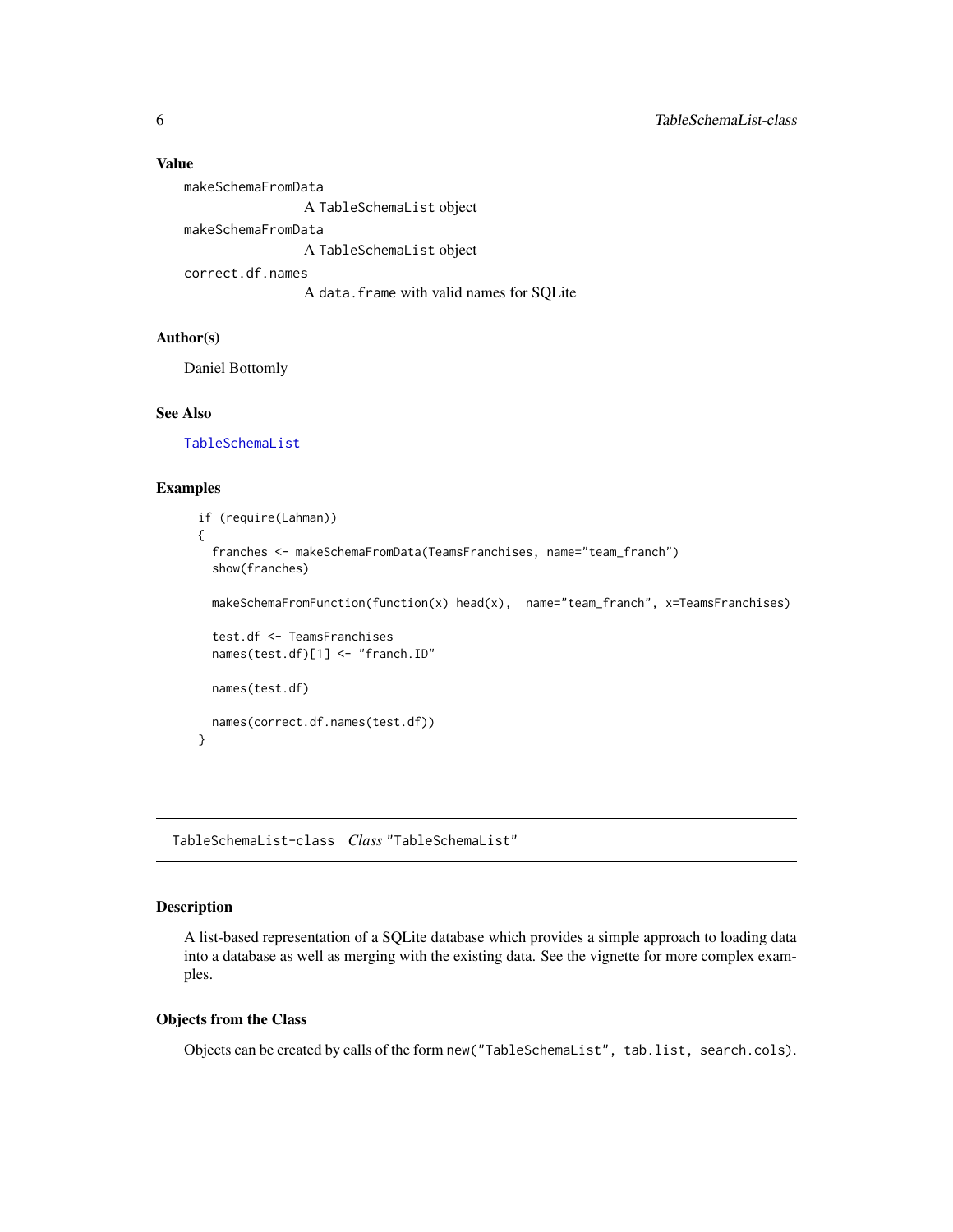#### <span id="page-5-0"></span>Value

makeSchemaFromData A TableSchemaList object makeSchemaFromData A TableSchemaList object correct.df.names A data.frame with valid names for SQLite

# Author(s)

Daniel Bottomly

#### See Also

[TableSchemaList](#page-5-1)

## Examples

```
if (require(Lahman))
{
  franches <- makeSchemaFromData(TeamsFranchises, name="team_franch")
  show(franches)
  makeSchemaFromFunction(function(x) head(x), name="team_franch", x=TeamsFranchises)
  test.df <- TeamsFranchises
  names(test.df)[1] <- "franch.ID"
  names(test.df)
  names(correct.df.names(test.df))
}
```
<span id="page-5-1"></span>TableSchemaList-class *Class* "TableSchemaList"

# Description

A list-based representation of a SQLite database which provides a simple approach to loading data into a database as well as merging with the existing data. See the vignette for more complex examples.

#### Objects from the Class

Objects can be created by calls of the form new("TableSchemaList", tab.list, search.cols).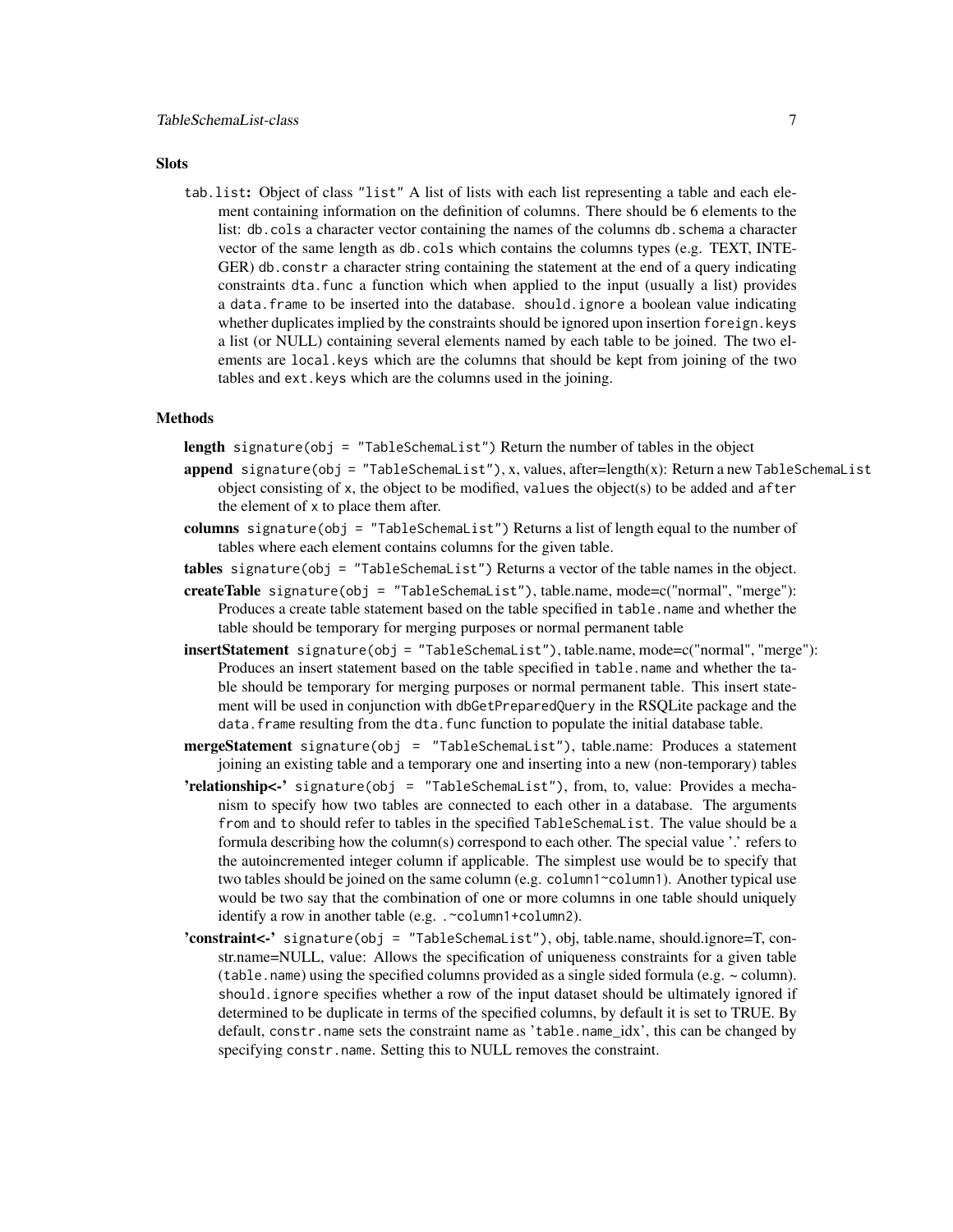#### **Slots**

tab.list: Object of class "list" A list of lists with each list representing a table and each element containing information on the definition of columns. There should be 6 elements to the list: db.cols a character vector containing the names of the columns db.schema a character vector of the same length as db.cols which contains the columns types (e.g. TEXT, INTE-GER) db.constr a character string containing the statement at the end of a query indicating constraints dta.func a function which when applied to the input (usually a list) provides a data.frame to be inserted into the database. should.ignore a boolean value indicating whether duplicates implied by the constraints should be ignored upon insertion foreign.keys a list (or NULL) containing several elements named by each table to be joined. The two elements are local.keys which are the columns that should be kept from joining of the two tables and ext.keys which are the columns used in the joining.

#### Methods

length signature(obj = "TableSchemaList") Return the number of tables in the object

- append signature(obj = "TableSchemaList"), x, values, after=length(x): Return a new TableSchemaList object consisting of x, the object to be modified, values the object( $s$ ) to be added and after the element of x to place them after.
- columns signature(obj = "TableSchemaList") Returns a list of length equal to the number of tables where each element contains columns for the given table.
- tables signature(obj = "TableSchemaList") Returns a vector of the table names in the object.
- createTable signature(obj = "TableSchemaList"), table.name, mode=c("normal", "merge"): Produces a create table statement based on the table specified in table.name and whether the table should be temporary for merging purposes or normal permanent table
- insertStatement signature(obj = "TableSchemaList"), table.name, mode=c("normal", "merge"): Produces an insert statement based on the table specified in table.name and whether the table should be temporary for merging purposes or normal permanent table. This insert statement will be used in conjunction with dbGetPreparedQuery in the RSQLite package and the data. frame resulting from the dta. func function to populate the initial database table.
- mergeStatement signature(obj = "TableSchemaList"), table.name: Produces a statement joining an existing table and a temporary one and inserting into a new (non-temporary) tables
- 'relationship<-' signature(obj = "TableSchemaList"), from, to, value: Provides a mechanism to specify how two tables are connected to each other in a database. The arguments from and to should refer to tables in the specified TableSchemaList. The value should be a formula describing how the column(s) correspond to each other. The special value '.' refers to the autoincremented integer column if applicable. The simplest use would be to specify that two tables should be joined on the same column (e.g. column1~column1). Another typical use would be two say that the combination of one or more columns in one table should uniquely identify a row in another table (e.g. .~column1+column2).
- 'constraint<-' signature(obj = "TableSchemaList"), obj, table.name, should.ignore=T, constr.name=NULL, value: Allows the specification of uniqueness constraints for a given table (table.name) using the specified columns provided as a single sided formula (e.g.  $\sim$  column). should.ignore specifies whether a row of the input dataset should be ultimately ignored if determined to be duplicate in terms of the specified columns, by default it is set to TRUE. By default, constr.name sets the constraint name as 'table.name idx', this can be changed by specifying constr.name. Setting this to NULL removes the constraint.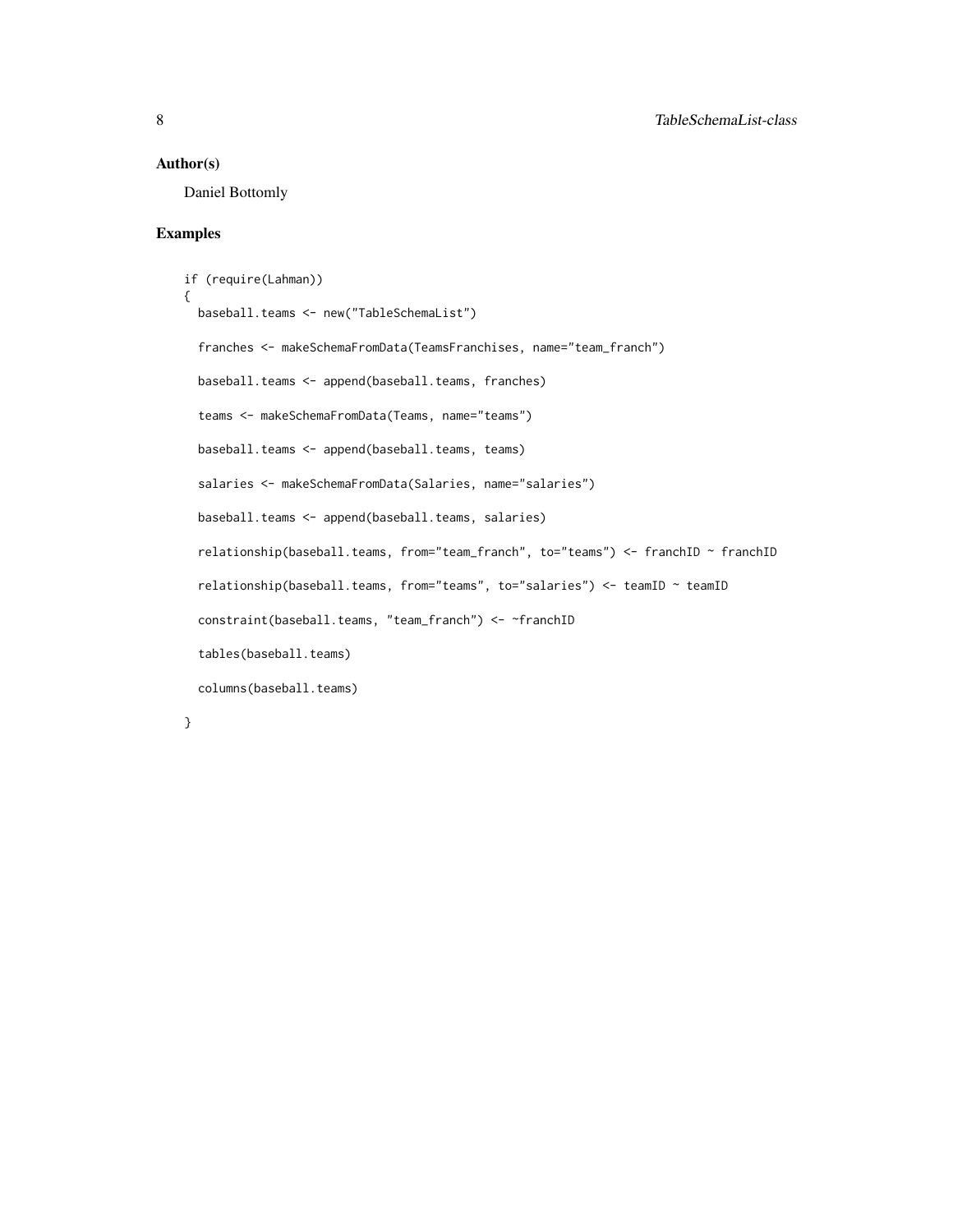#### Author(s)

Daniel Bottomly

#### Examples

```
if (require(Lahman))
{
 baseball.teams <- new("TableSchemaList")
 franches <- makeSchemaFromData(TeamsFranchises, name="team_franch")
 baseball.teams <- append(baseball.teams, franches)
 teams <- makeSchemaFromData(Teams, name="teams")
 baseball.teams <- append(baseball.teams, teams)
 salaries <- makeSchemaFromData(Salaries, name="salaries")
 baseball.teams <- append(baseball.teams, salaries)
 relationship(baseball.teams, from="team_franch", to="teams") <- franchID ~ franchID
 relationship(baseball.teams, from="teams", to="salaries") <- teamID ~ teamID
 constraint(baseball.teams, "team_franch") <- ~franchID
 tables(baseball.teams)
 columns(baseball.teams)
```
}